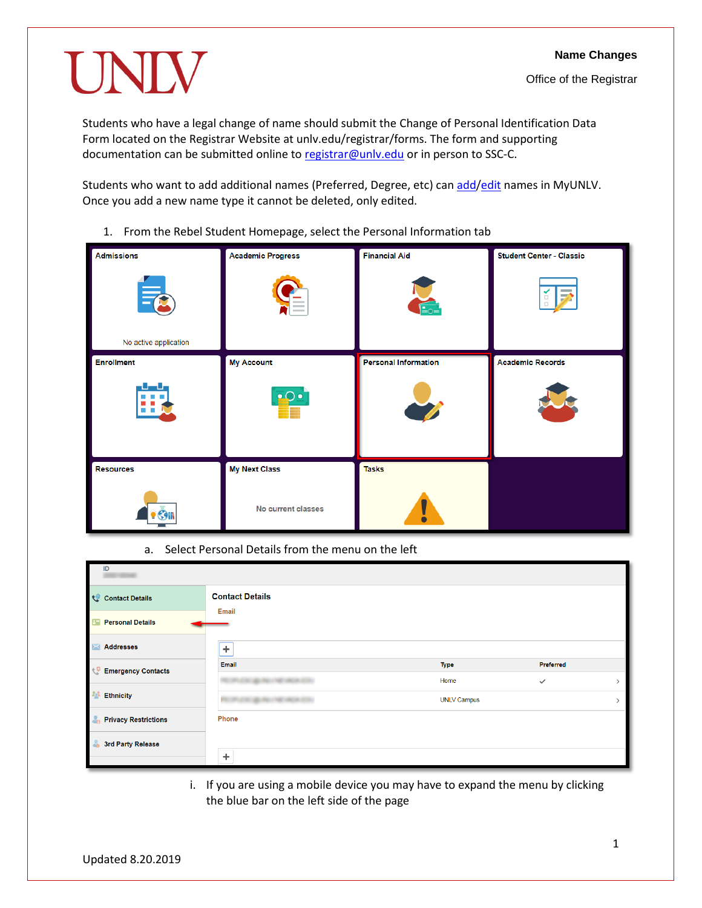# UNIV

Students who have a legal change of name should submit the Change of Personal Identification Data Form located on the Registrar Website at unlv.edu/registrar/forms. The form and supporting documentation can be submitted online to registrar@unlv.edu or in person to SSC-C.

Students who want to add additional names (Preferred, Degree, etc) ca[n add](#page-1-0)[/edit](#page-3-0) names in MyUNLV. Once you add a new name type it cannot be deleted, only edited.

- **Financial Aid Admissions Academic Progress Student Center - Classic** No active application **Personal Information My Account Academic Records Enrollment My Next Class Tasks Resources** No current classes œп
- 1. From the Rebel Student Homepage, select the Personal Information tab

a. Select Personal Details from the menu on the left

| ID                               |                          |                    |              |  |
|----------------------------------|--------------------------|--------------------|--------------|--|
| <b>Contact Details</b>           | <b>Contact Details</b>   |                    |              |  |
| <b>B Personal Details</b>        | <b>Email</b>             |                    |              |  |
| <b>Addresses</b><br>$\mathbb{R}$ | ÷                        |                    |              |  |
| <b>Emergency Contacts</b>        | Email                    | <b>Type</b>        | Preferred    |  |
|                                  |                          | Home               | $\checkmark$ |  |
| <b>Ethnicity</b>                 | <b>SECURITY AND REAL</b> | <b>UNLV Campus</b> |              |  |
| <b>Privacy Restrictions</b>      | Phone                    |                    |              |  |
| 3rd Party Release<br><b>do</b>   |                          |                    |              |  |
|                                  | ÷                        |                    |              |  |

i. If you are using a mobile device you may have to expand the menu by clicking the blue bar on the left side of the page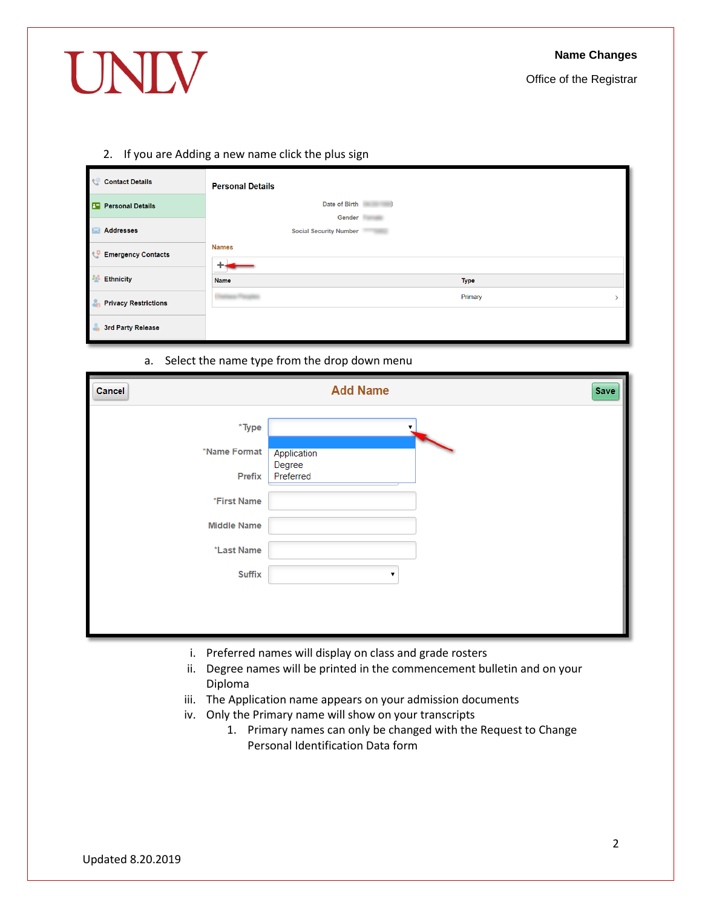# UNIV

Office of the Registrar

### <span id="page-1-0"></span>2. If you are Adding a new name click the plus sign

| $\mathcal{C}$<br><b>Contact Details</b>                   | <b>Personal Details</b>                   |
|-----------------------------------------------------------|-------------------------------------------|
| $\mathbf{E}$<br><b>Personal Details</b>                   | Date of Birth                             |
| <b>Addresses</b>                                          | Gender  <br><b>Social Security Number</b> |
| $\mathcal{L}^{\mathcal{G}}$<br><b>Emergency Contacts</b>  | <b>Names</b>                              |
| <b>Ethnicity</b>                                          | <b>Name</b><br><b>Type</b>                |
| $\mathcal{L}_{\mathbf{n}}$<br><b>Privacy Restrictions</b> | Primary                                   |
| 3rd Party Release                                         |                                           |

### a. Select the name type from the drop down menu

| Cancel             | <b>Add Name</b><br>Save |  |
|--------------------|-------------------------|--|
| $*$ Type           |                         |  |
| *Name Format       | Application<br>Degree   |  |
| Prefix             | Preferred               |  |
| *First Name        |                         |  |
| <b>Middle Name</b> |                         |  |
| *Last Name         |                         |  |
| <b>Suffix</b>      |                         |  |
|                    |                         |  |
|                    |                         |  |

- i. Preferred names will display on class and grade rosters
- ii. Degree names will be printed in the commencement bulletin and on your Diploma
- iii. The Application name appears on your admission documents
- iv. Only the Primary name will show on your transcripts
	- 1. Primary names can only be changed with the Request to Change Personal Identification Data form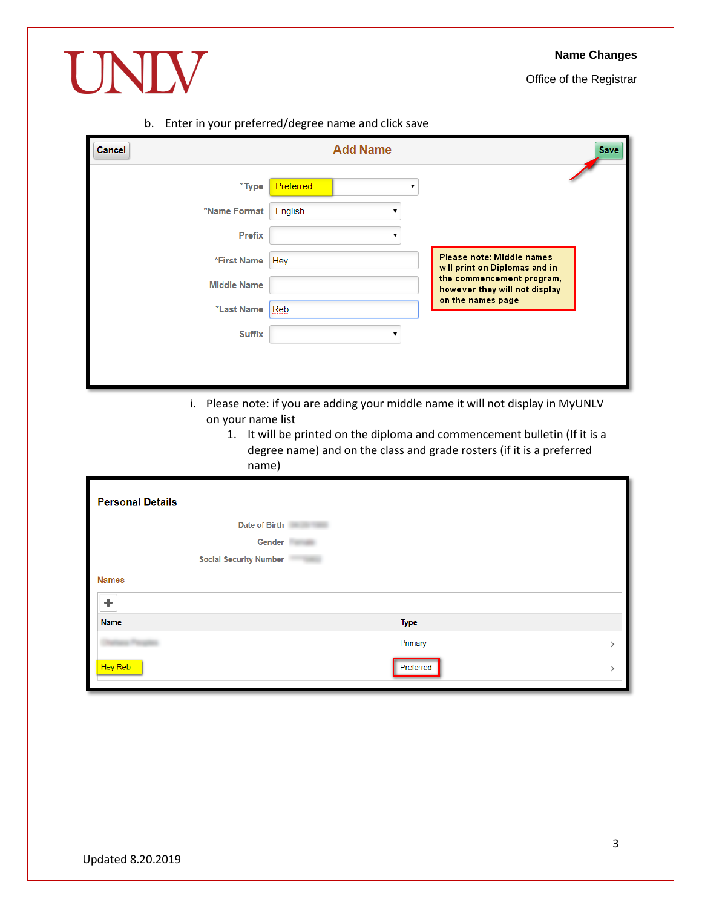# **Name Changes**

Office of the Registrar



b. Enter in your preferred/degree name and click save

| <b>Cancel</b>                                                                                                                                                   | <b>Add Name</b><br><b>Save</b> |                                                            |  |
|-----------------------------------------------------------------------------------------------------------------------------------------------------------------|--------------------------------|------------------------------------------------------------|--|
| $*$ Type                                                                                                                                                        | Preferred                      |                                                            |  |
| *Name Format                                                                                                                                                    | English                        |                                                            |  |
| <b>Prefix</b>                                                                                                                                                   |                                |                                                            |  |
| *First Name                                                                                                                                                     | Hey                            | Please note: Middle names<br>will print on Diplomas and in |  |
| <b>Middle Name</b>                                                                                                                                              |                                | the commencement program,<br>however they will not display |  |
| *Last Name                                                                                                                                                      | Reb                            | on the names page                                          |  |
| <b>Suffix</b>                                                                                                                                                   |                                |                                                            |  |
|                                                                                                                                                                 |                                |                                                            |  |
|                                                                                                                                                                 |                                |                                                            |  |
| Please note: if you are adding your middle name it will not display in MyUNLV<br>i.<br>on your name list                                                        |                                |                                                            |  |
| It will be printed on the diploma and commencement bulletin (If it is a<br>1.<br>degree name) and on the class and grade rosters (if it is a preferred<br>name) |                                |                                                            |  |

| <b>Personal Details</b>       |             |  |
|-------------------------------|-------------|--|
| Date of Birth                 |             |  |
| Gender                        |             |  |
| <b>Social Security Number</b> |             |  |
| <b>Names</b>                  |             |  |
| ÷                             |             |  |
| <b>Name</b>                   | <b>Type</b> |  |
|                               | Primary     |  |
| Hey Reb                       | Preferred   |  |